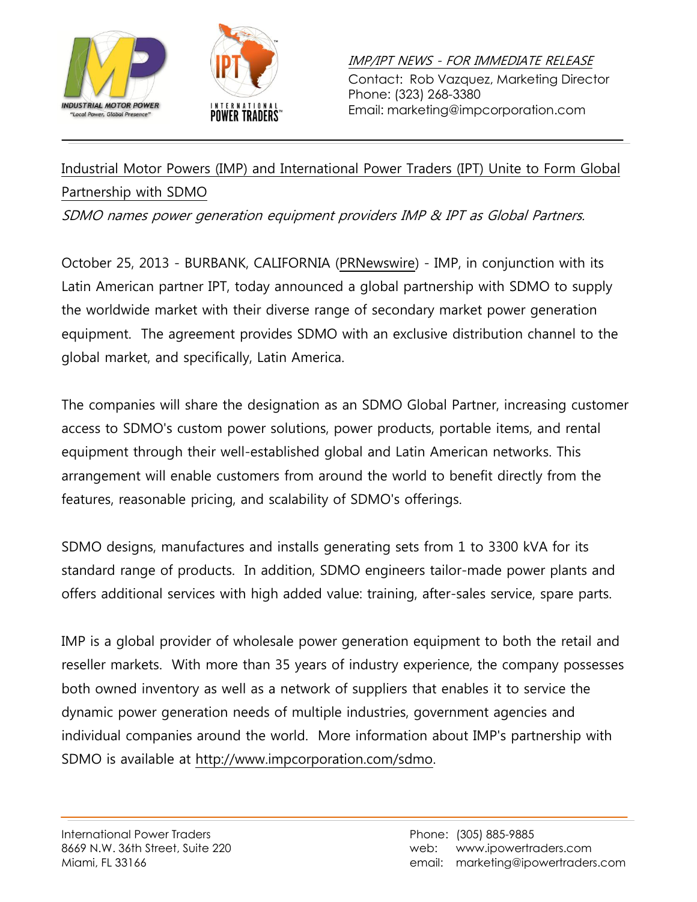



IMP/IPT NEWS - FOR IMMEDIATE RELEASE Contact: Rob Vazquez, Marketing Director Phone: (323) 268-3380 Email: marketing@impcorporation.com

## Industrial Motor Powers (IMP) and International Power Traders (IPT) Unite to Form Global Partnership with SDMO

SDMO names power generation equipment providers IMP & IPT as Global Partners.

October 25, 2013 - BURBANK, CALIFORNIA (PRNewswire) - IMP, in conjunction with its Latin American partner IPT, today announced a global partnership with SDMO to supply the worldwide market with their diverse range of secondary market power generation equipment. The agreement provides SDMO with an exclusive distribution channel to the global market, and specifically, Latin America.

The companies will share the designation as an SDMO Global Partner, increasing customer access to SDMO's custom power solutions, power products, portable items, and rental equipment through their well-established global and Latin American networks. This arrangement will enable customers from around the world to benefit directly from the features, reasonable pricing, and scalability of SDMO's offerings.

SDMO designs, manufactures and installs generating sets from 1 to 3300 kVA for its standard range of products. In addition, SDMO engineers tailor-made power plants and offers additional services with high added value: training, after-sales service, spare parts.

IMP is a global provider of wholesale power generation equipment to both the retail and reseller markets. With more than 35 years of industry experience, the company possesses both owned inventory as well as a network of suppliers that enables it to service the dynamic power generation needs of multiple industries, government agencies and individual companies around the world. More information about IMP's partnership with SDMO is available at [http://www.impcorporation.com/sdmo.](http://www.impcorporation.com/sdmo)